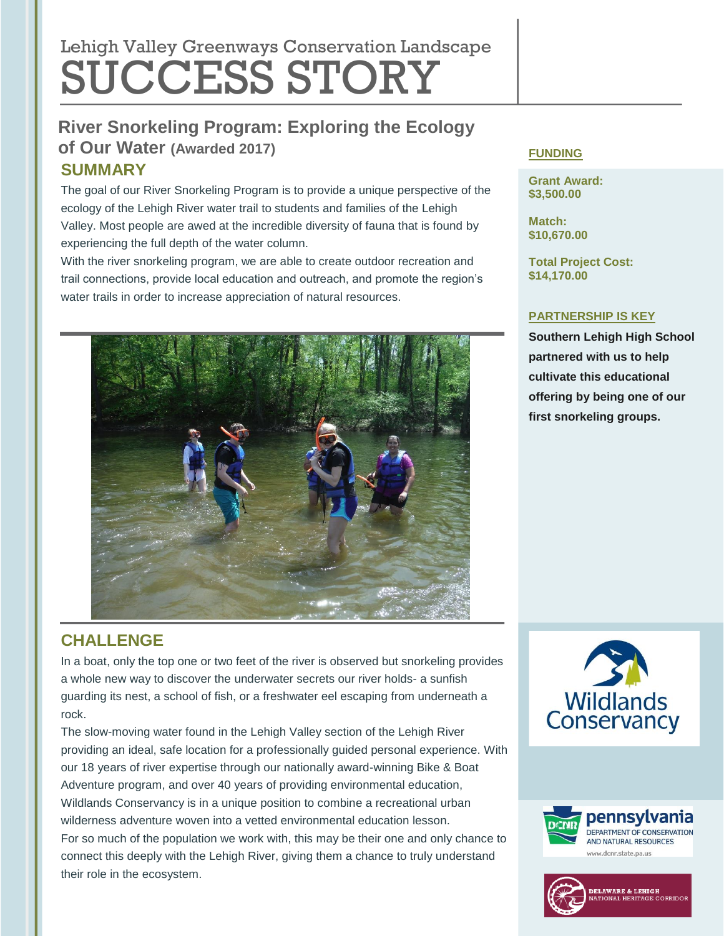# Lehigh Valley Greenways Conservation Landscape SUCCESS STORY

## **River Snorkeling Program: Exploring the Ecology of Our Water (Awarded 2017) SUMMARY**

The goal of our River Snorkeling Program is to provide a unique perspective of the ecology of the Lehigh River water trail to students and families of the Lehigh Valley. Most people are awed at the incredible diversity of fauna that is found by experiencing the full depth of the water column.

With the river snorkeling program, we are able to create outdoor recreation and trail connections, provide local education and outreach, and promote the region's water trails in order to increase appreciation of natural resources.



#### **FUNDING**

**Grant Award: \$3,500.00**

**Match: \$10,670.00**

**Total Project Cost: \$14,170.00**

#### **PARTNERSHIP IS KEY**

**Southern Lehigh High School partnered with us to help cultivate this educational offering by being one of our first snorkeling groups.** 

## **CHALLENGE**

In a boat, only the top one or two feet of the river is observed but snorkeling provides a whole new way to discover the underwater secrets our river holds- a sunfish guarding its nest, a school of fish, or a freshwater eel escaping from underneath a rock.

The slow-moving water found in the Lehigh Valley section of the Lehigh River providing an ideal, safe location for a professionally guided personal experience. With our 18 years of river expertise through our nationally award-winning Bike & Boat Adventure program, and over 40 years of providing environmental education, Wildlands Conservancy is in a unique position to combine a recreational urban wilderness adventure woven into a vetted environmental education lesson. For so much of the population we work with, this may be their one and only chance to connect this deeply with the Lehigh River, giving them a chance to truly understand their role in the ecosystem.